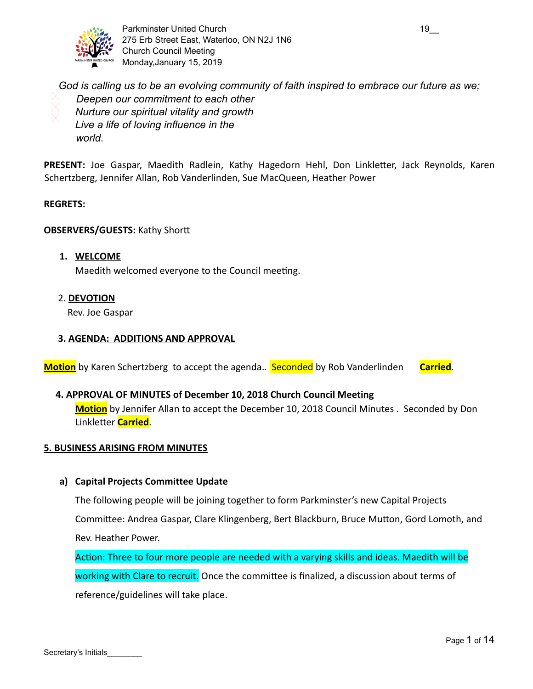

Parkminster United Church 19\_2000 19\_2000 19\_2000 19\_2000 19\_2000 19\_2000 19\_2000 275 Erb Street East, Waterloo, ON N2J 1N6 Church Council Meeting Monday,January 15, 2019

 *God is calling us to be an evolving community of faith inspired to embrace our future as we; Deepen our commitment to each other Nurture our spiritual vitality and growth Live a life of loving influence in the world.*

**PRESENT:** Joe Gaspar, Maedith Radlein, Kathy Hagedorn Hehl, Don Linkletter, Jack Reynolds, Karen Schertzberg, Jennifer Allan, Rob Vanderlinden, Sue MacQueen, Heather Power

#### **REGRETS:**

#### **OBSERVERS/GUESTS:** Kathy Shor

- **1. WELCOME** Maedith welcomed everyone to the Council meeting.
- 2. **DEVOTION**

Rev. Joe Gaspar

#### **3. AGENDA: ADDITIONS AND APPROVAL**

**Motion** by Karen Schertzberg to accept the agenda. **Seconded** by Rob Vanderlinden **Carried**.

#### **4. APPROVAL OF MINUTES of December 10, 2018 Church Council Meeting**

**Motion** by Jennifer Allan to accept the December 10, 2018 Council Minutes . Seconded by Don **Linkletter Carried.** 

#### **5. BUSINESS ARISING FROM MINUTES**

#### **a) Capital Projects Committee Update**

The following people will be joining together to form Parkminster's new Capital Projects

Committee: Andrea Gaspar, Clare Klingenberg, Bert Blackburn, Bruce Mutton, Gord Lomoth, and Rev. Heather Power.

Action: Three to four more people are needed with a varying skills and ideas. Maedith will be working with Clare to recruit. Once the committee is finalized, a discussion about terms of reference/guidelines will take place.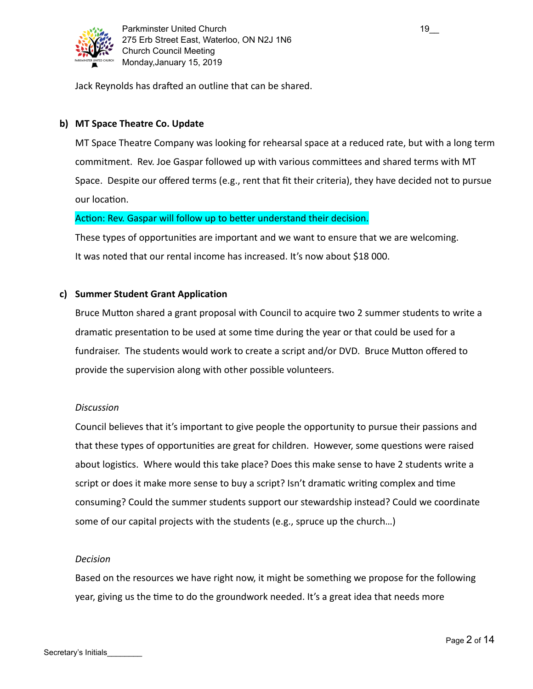

Jack Reynolds has drafted an outline that can be shared.

## **b) MT Space Theatre Co. Update**

MT Space Theatre Company was looking for rehearsal space at a reduced rate, but with a long term commitment. Rev. Joe Gaspar followed up with various committees and shared terms with MT Space. Despite our offered terms (e.g., rent that fit their criteria), they have decided not to pursue our location.

## Action: Rev. Gaspar will follow up to better understand their decision.

These types of opportunities are important and we want to ensure that we are welcoming. It was noted that our rental income has increased. It's now about \$18 000.

## **c) Summer Student Grant Application**

Bruce Mutton shared a grant proposal with Council to acquire two 2 summer students to write a dramatic presentation to be used at some time during the year or that could be used for a fundraiser. The students would work to create a script and/or DVD. Bruce Mutton offered to provide the supervision along with other possible volunteers.

## *Discussion*

Council believes that it's important to give people the opportunity to pursue their passions and that these types of opportunities are great for children. However, some questions were raised about logistics. Where would this take place? Does this make sense to have 2 students write a script or does it make more sense to buy a script? Isn't dramatic writing complex and time consuming? Could the summer students support our stewardship instead? Could we coordinate some of our capital projects with the students (e.g., spruce up the church…)

#### *Decision*

Based on the resources we have right now, it might be something we propose for the following year, giving us the time to do the groundwork needed. It's a great idea that needs more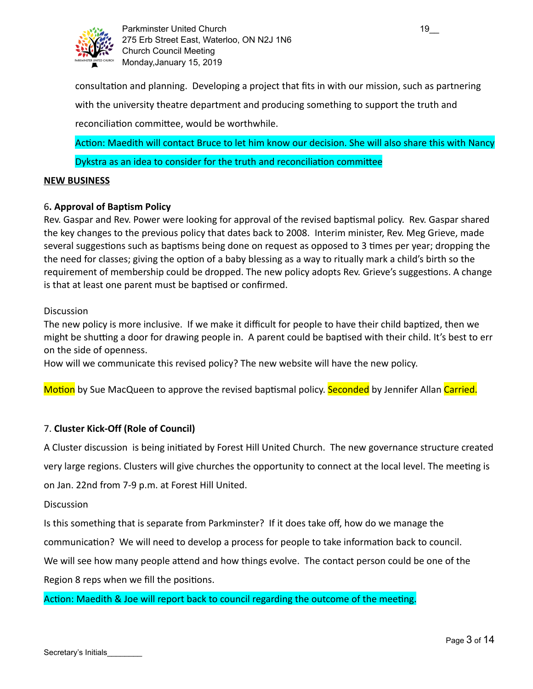

Parkminster United Church 19\_2000 19\_2000 19\_2000 19\_2000 19\_2000 19\_2000 19\_2000 19\_2000 19\_2000 19\_2000 19\_2 275 Erb Street East, Waterloo, ON N2J 1N6 Church Council Meeting Monday,January 15, 2019

consultation and planning. Developing a project that fits in with our mission, such as partnering with the university theatre department and producing something to support the truth and reconciliation committee, would be worthwhile.

Action: Maedith will contact Bruce to let him know our decision. She will also share this with Nancy Dykstra as an idea to consider for the truth and reconciliation committee

## **NEW BUSINESS**

#### 6 **. Approval of Baptism Policy**

Rev. Gaspar and Rev. Power were looking for approval of the revised baptismal policy. Rev. Gaspar shared the key changes to the previous policy that dates back to 2008. Interim minister, Rev. Meg Grieve, made several suggestions such as baptisms being done on request as opposed to 3 times per year; dropping the the need for classes; giving the option of a baby blessing as a way to ritually mark a child's birth so the requirement of membership could be dropped. The new policy adopts Rev. Grieve's suggestions. A change is that at least one parent must be baptised or confirmed.

#### Discussion

The new policy is more inclusive. If we make it difficult for people to have their child baptized, then we might be shutting a door for drawing people in. A parent could be baptised with their child. It's best to err on the side of openness.

How will we communicate this revised policy? The new website will have the new policy.

Motion by Sue MacQueen to approve the revised baptismal policy. Seconded by Jennifer Allan Carried.

## 7. **Cluster Kick-Off (Role of Council)**

A Cluster discussion is being initiated by Forest Hill United Church. The new governance structure created very large regions. Clusters will give churches the opportunity to connect at the local level. The meeting is on Jan. 22nd from 7-9 p.m. at Forest Hill United.

**Discussion** 

Is this something that is separate from Parkminster? If it does take off, how do we manage the communication? We will need to develop a process for people to take information back to council.

We will see how many people attend and how things evolve. The contact person could be one of the Region 8 reps when we fill the positions.

Action: Maedith & Joe will report back to council regarding the outcome of the meeting.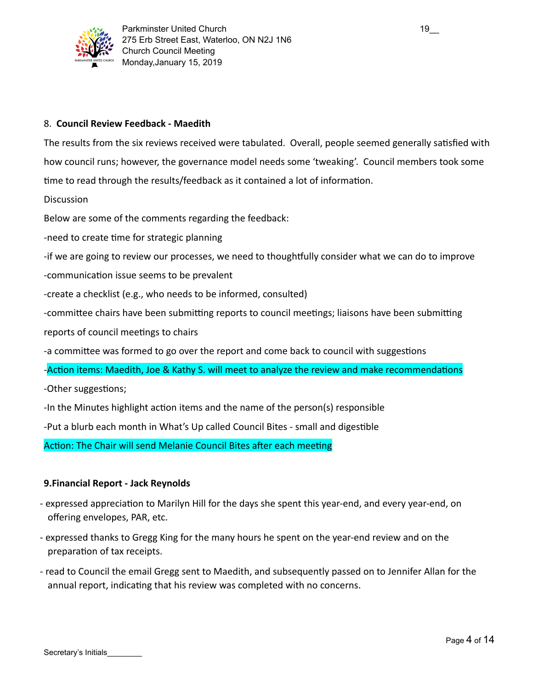

## 8. **Council Review Feedback - Maedith**

The results from the six reviews received were tabulated. Overall, people seemed generally satisfied with how council runs; however, the governance model needs some 'tweaking'. Council members took some time to read through the results/feedback as it contained a lot of information.

**Discussion** 

Below are some of the comments regarding the feedback:

-need to create time for strategic planning

-if we are going to review our processes, we need to thoughtfully consider what we can do to improve

-communication issue seems to be prevalent

-create a checklist (e.g., who needs to be informed, consulted)

-committee chairs have been submitting reports to council meetings; liaisons have been submitting

reports of council meetings to chairs

-a committee was formed to go over the report and come back to council with suggestions

- Action items: Maedith, Joe & Kathy S. will meet to analyze the review and make recommendations

-Other suggestions;

-In the Minutes highlight action items and the name of the person(s) responsible

-Put a blurb each month in What's Up called Council Bites - small and digestible

Action: The Chair will send Melanie Council Bites after each meeting

## **9.Financial Report - Jack Reynolds**

- expressed appreciation to Marilyn Hill for the days she spent this year-end, and every year-end, on offering envelopes, PAR, etc.
- expressed thanks to Gregg King for the many hours he spent on the year-end review and on the preparation of tax receipts.
- read to Council the email Gregg sent to Maedith, and subsequently passed on to Jennifer Allan for the annual report, indicating that his review was completed with no concerns.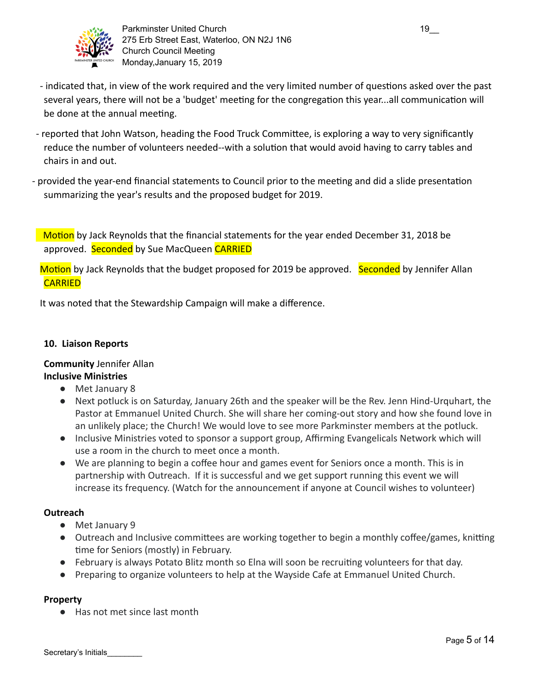

Parkminster United Church 19\_000 \ \ \ \ \ \ \ \ \ \ \ \ \ 19 275 Erb Street East, Waterloo, ON N2J 1N6 Church Council Meeting Monday,January 15, 2019

- indicated that, in view of the work required and the very limited number of questions asked over the past several years, there will not be a 'budget' meeting for the congregation this year...all communication will be done at the annual meeting.
- reported that John Watson, heading the Food Truck Committee, is exploring a way to very significantly reduce the number of volunteers needed--with a solution that would avoid having to carry tables and chairs in and out.
- provided the year-end financial statements to Council prior to the meeting and did a slide presentation summarizing the year's results and the proposed budget for 2019.

Motion by Jack Reynolds that the financial statements for the year ended December 31, 2018 be approved. Seconded by Sue MacQueen CARRIED

Motion by Jack Reynolds that the budget proposed for 2019 be approved. Seconded by Jennifer Allan **CARRIED** 

It was noted that the Stewardship Campaign will make a difference.

#### **10. Liaison Reports**

## **Community** Jennifer Allan **Inclusive Ministries**

- Met January 8
- Next potluck is on Saturday, January 26th and the speaker will be the Rev. Jenn Hind-Urquhart, the Pastor at Emmanuel United Church. She will share her coming-out story and how she found love in an unlikely place; the Church! We would love to see more Parkminster members at the potluck.
- Inclusive Ministries voted to sponsor a support group, Affirming Evangelicals Network which will use a room in the church to meet once a month.
- We are planning to begin a coffee hour and games event for Seniors once a month. This is in partnership with Outreach. If it is successful and we get support running this event we will increase its frequency. (Watch for the announcement if anyone at Council wishes to volunteer)

## **Outreach**

- Met January 9
- Outreach and Inclusive committees are working together to begin a monthly coffee/games, knitting time for Seniors (mostly) in February.
- February is always Potato Blitz month so Elna will soon be recruiting volunteers for that day.
- Preparing to organize volunteers to help at the Wayside Cafe at Emmanuel United Church.

## **Property**

● Has not met since last month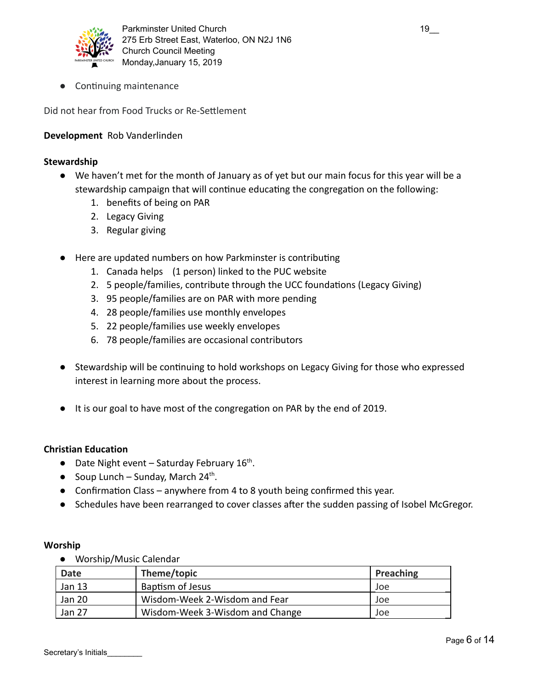

• Continuing maintenance

Did not hear from Food Trucks or Re-Settlement

## **Development** Rob Vanderlinden

#### **Stewardship**

- We haven't met for the month of January as of yet but our main focus for this year will be a stewardship campaign that will continue educating the congregation on the following:
	- 1. benefits of being on PAR
	- 2. Legacy Giving
	- 3. Regular giving
- Here are updated numbers on how Parkminster is contributing
	- 1. Canada helps (1 person) linked to the PUC website
	- 2. 5 people/families, contribute through the UCC foundations (Legacy Giving)
	- 3. 95 people/families are on PAR with more pending
	- 4. 28 people/families use monthly envelopes
	- 5. 22 people/families use weekly envelopes
	- 6. 78 people/families are occasional contributors
- Stewardship will be continuing to hold workshops on Legacy Giving for those who expressed interest in learning more about the process.
- It is our goal to have most of the congregation on PAR by the end of 2019.

#### **Christian Education**

- $\bullet$  Date Night event Saturday February 16<sup>th</sup>.
- $\bullet$  Soup Lunch Sunday, March 24<sup>th</sup>.
- Confirmation Class anywhere from 4 to 8 youth being confirmed this year.
- Schedules have been rearranged to cover classes after the sudden passing of Isobel McGregor.

#### **Worship**

● Worship/Music Calendar

| <b>Date</b> | Theme/topic                     | Preaching |
|-------------|---------------------------------|-----------|
| Jan 13      | Baptism of Jesus                | Joe       |
| Jan 20      | Wisdom-Week 2-Wisdom and Fear   | Joe       |
| Jan 27      | Wisdom-Week 3-Wisdom and Change | Joe       |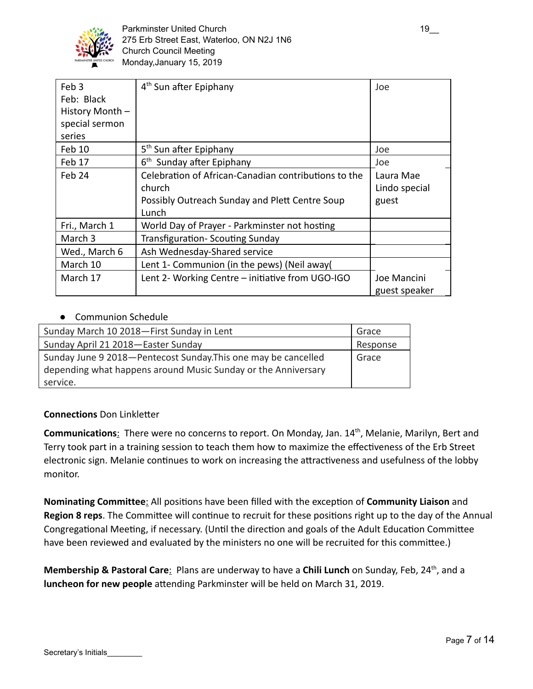

| Feb 3<br>Feb: Black<br>History Month -<br>special sermon<br>series | 4 <sup>th</sup> Sun after Epiphany                                                                                        | Joe                                 |
|--------------------------------------------------------------------|---------------------------------------------------------------------------------------------------------------------------|-------------------------------------|
| Feb 10                                                             | 5 <sup>th</sup> Sun after Epiphany                                                                                        | Joe                                 |
| Feb 17                                                             | 6 <sup>th</sup> Sunday after Epiphany                                                                                     | Joe                                 |
| Feb 24                                                             | Celebration of African-Canadian contributions to the<br>church<br>Possibly Outreach Sunday and Plett Centre Soup<br>Lunch | Laura Mae<br>Lindo special<br>guest |
| Fri., March 1                                                      | World Day of Prayer - Parkminster not hosting                                                                             |                                     |
| March <sub>3</sub>                                                 | Transfiguration-Scouting Sunday                                                                                           |                                     |
| Wed., March 6                                                      | Ash Wednesday-Shared service                                                                                              |                                     |
| March 10                                                           | Lent 1- Communion (in the pews) (Neil away(                                                                               |                                     |
| March 17                                                           | Lent 2- Working Centre – initiative from UGO-IGO                                                                          | Joe Mancini<br>guest speaker        |

## **Communion Schedule**

| Sunday March 10 2018-First Sunday in Lent                      | Grace    |
|----------------------------------------------------------------|----------|
| Sunday April 21 2018 - Easter Sunday                           | Response |
| Sunday June 9 2018-Pentecost Sunday. This one may be cancelled | Grace    |
| depending what happens around Music Sunday or the Anniversary  |          |
| service.                                                       |          |

## **Connections Don Linkletter**

Communications: There were no concerns to report. On Monday, Jan. 14<sup>th</sup>, Melanie, Marilyn, Bert and Terry took part in a training session to teach them how to maximize the effectiveness of the Erb Street electronic sign. Melanie continues to work on increasing the attractiveness and usefulness of the lobby monitor.

Nominating Committee: All positions have been filled with the exception of Community Liaison and Region 8 reps. The Committee will continue to recruit for these positions right up to the day of the Annual Congregational Meeting, if necessary. (Until the direction and goals of the Adult Education Committee have been reviewed and evaluated by the ministers no one will be recruited for this committee.)

Membership & Pastoral Care: Plans are underway to have a Chili Lunch on Sunday, Feb, 24<sup>th</sup>, and a **luncheon for new people** attending Parkminster will be held on March 31, 2019.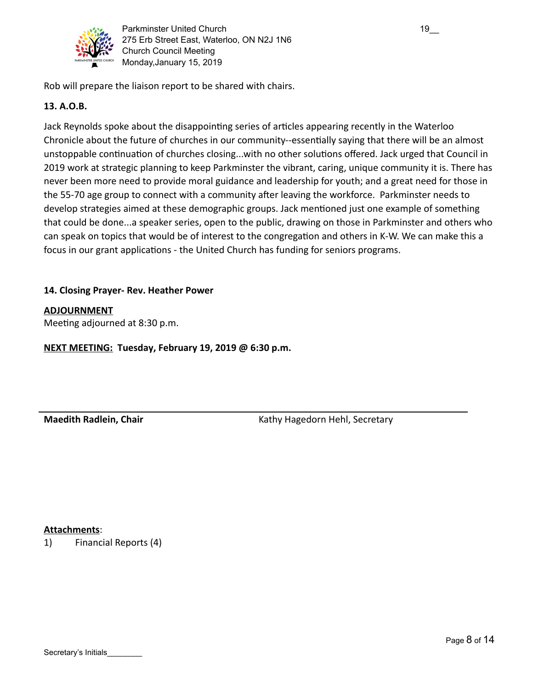

Parkminster United Church 19\_000 \ \ \ \ \ \ \ \ \ \ \ \ \ 19 275 Erb Street East, Waterloo, ON N2J 1N6 Church Council Meeting Monday,January 15, 2019

Rob will prepare the liaison report to be shared with chairs.

## **13. A.O.B.**

Jack Reynolds spoke about the disappointing series of articles appearing recently in the Waterloo Chronicle about the future of churches in our community--essentially saying that there will be an almost unstoppable continuation of churches closing...with no other solutions offered. Jack urged that Council in 2019 work at strategic planning to keep Parkminster the vibrant, caring, unique community it is. There has never been more need to provide moral guidance and leadership for youth; and a great need for those in the 55-70 age group to connect with a community after leaving the workforce. Parkminster needs to develop strategies aimed at these demographic groups. Jack mentioned just one example of something that could be done...a speaker series, open to the public, drawing on those in Parkminster and others who can speak on topics that would be of interest to the congregation and others in K-W. We can make this a focus in our grant applications - the United Church has funding for seniors programs.

## **14. Closing Prayer- Rev. Heather Power**

## **ADJOURNMENT**

Meeting adjourned at 8:30 p.m.

**NEXT MEETING: Tuesday, February 19, 2019 @ 6:30 p.m.**

**Maedith Radlein, Chair** Kathy Hagedorn Hehl, Secretary Kathy Hagedorn Hehl, Secretary

## **Attachments** :

1) Financial Reports (4)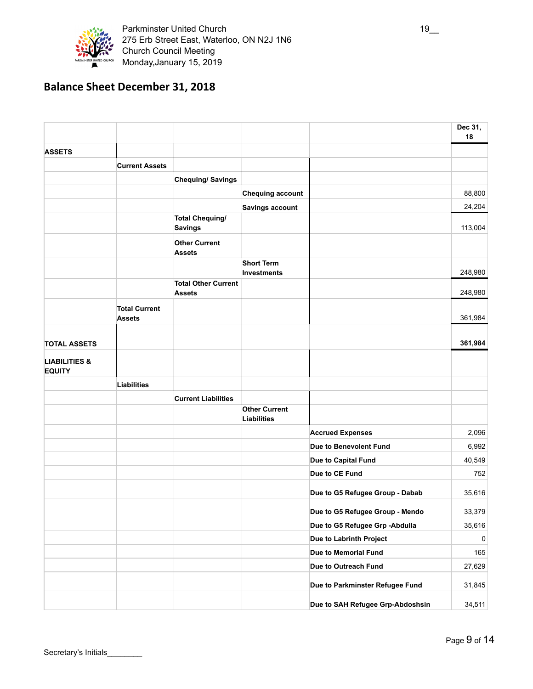

Parkminster United Church 19\_ 275 Erb Street East, Waterloo, ON N2J 1N6 Church Council Meeting Monday,January 15, 2019

# **Balance Sheet December 31, 2018**

|                                           |                                       |                                             |                                            |                                  | Dec 31,<br>18 |
|-------------------------------------------|---------------------------------------|---------------------------------------------|--------------------------------------------|----------------------------------|---------------|
| <b>ASSETS</b>                             |                                       |                                             |                                            |                                  |               |
|                                           | <b>Current Assets</b>                 |                                             |                                            |                                  |               |
|                                           |                                       | <b>Chequing/Savings</b>                     |                                            |                                  |               |
|                                           |                                       |                                             | <b>Chequing account</b>                    |                                  | 88,800        |
|                                           |                                       |                                             | <b>Savings account</b>                     |                                  | 24,204        |
|                                           |                                       | <b>Total Chequing/</b><br><b>Savings</b>    |                                            |                                  | 113,004       |
|                                           |                                       | <b>Other Current</b><br><b>Assets</b>       |                                            |                                  |               |
|                                           |                                       |                                             | <b>Short Term</b><br><b>Investments</b>    |                                  | 248,980       |
|                                           |                                       | <b>Total Other Current</b><br><b>Assets</b> |                                            |                                  | 248,980       |
|                                           | <b>Total Current</b><br><b>Assets</b> |                                             |                                            |                                  | 361,984       |
| <b>TOTAL ASSETS</b>                       |                                       |                                             |                                            |                                  | 361,984       |
| <b>LIABILITIES &amp;</b><br><b>EQUITY</b> |                                       |                                             |                                            |                                  |               |
|                                           | <b>Liabilities</b>                    |                                             |                                            |                                  |               |
|                                           |                                       | <b>Current Liabilities</b>                  |                                            |                                  |               |
|                                           |                                       |                                             | <b>Other Current</b><br><b>Liabilities</b> |                                  |               |
|                                           |                                       |                                             |                                            | <b>Accrued Expenses</b>          | 2,096         |
|                                           |                                       |                                             |                                            | Due to Benevolent Fund           | 6,992         |
|                                           |                                       |                                             |                                            | Due to Capital Fund              | 40,549        |
|                                           |                                       |                                             |                                            | Due to CE Fund                   | 752           |
|                                           |                                       |                                             |                                            | Due to G5 Refugee Group - Dabab  | 35,616        |
|                                           |                                       |                                             |                                            | Due to G5 Refugee Group - Mendo  | 33,379        |
|                                           |                                       |                                             |                                            | Due to G5 Refugee Grp - Abdulla  | 35,616        |
|                                           |                                       |                                             |                                            | Due to Labrinth Project          | 0             |
|                                           |                                       |                                             |                                            | Due to Memorial Fund             | 165           |
|                                           |                                       |                                             |                                            | Due to Outreach Fund             | 27,629        |
|                                           |                                       |                                             |                                            | Due to Parkminster Refugee Fund  | 31,845        |
|                                           |                                       |                                             |                                            | Due to SAH Refugee Grp-Abdoshsin | 34,511        |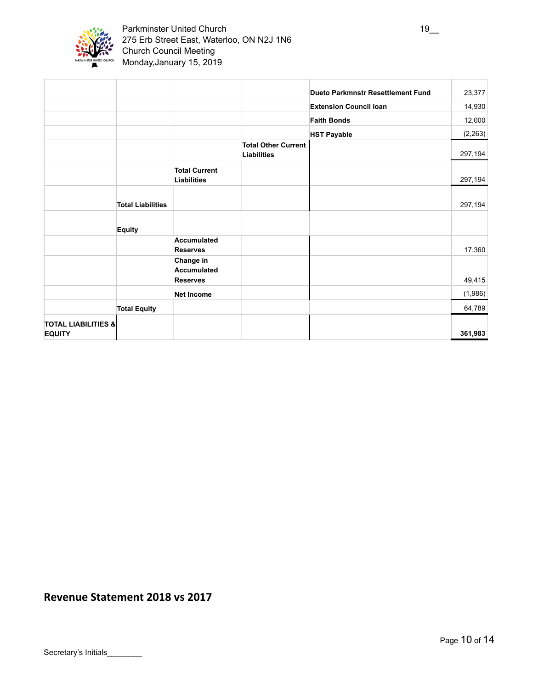

|                                                 |                          |                                             |                                                  | Dueto Parkmnstr Resettlement Fund | 23,377   |
|-------------------------------------------------|--------------------------|---------------------------------------------|--------------------------------------------------|-----------------------------------|----------|
|                                                 |                          |                                             |                                                  | <b>Extension Council loan</b>     | 14,930   |
|                                                 |                          |                                             |                                                  | <b>Faith Bonds</b>                | 12,000   |
|                                                 |                          |                                             |                                                  | <b>HST Payable</b>                | (2, 263) |
|                                                 |                          |                                             | <b>Total Other Current</b><br><b>Liabilities</b> |                                   | 297,194  |
|                                                 |                          | <b>Total Current</b><br>Liabilities         |                                                  |                                   | 297,194  |
|                                                 | <b>Total Liabilities</b> |                                             |                                                  |                                   | 297,194  |
|                                                 | <b>Equity</b>            |                                             |                                                  |                                   |          |
|                                                 |                          | Accumulated<br><b>Reserves</b>              |                                                  |                                   | 17,360   |
|                                                 |                          | Change in<br>Accumulated<br><b>Reserves</b> |                                                  |                                   | 49,415   |
|                                                 |                          | <b>Net Income</b>                           |                                                  |                                   | (1,986)  |
|                                                 | <b>Total Equity</b>      |                                             |                                                  |                                   | 64,789   |
| <b>TOTAL LIABILITIES &amp;</b><br><b>EQUITY</b> |                          |                                             |                                                  |                                   | 361,983  |

## **Revenue Statement 2018 vs 2017**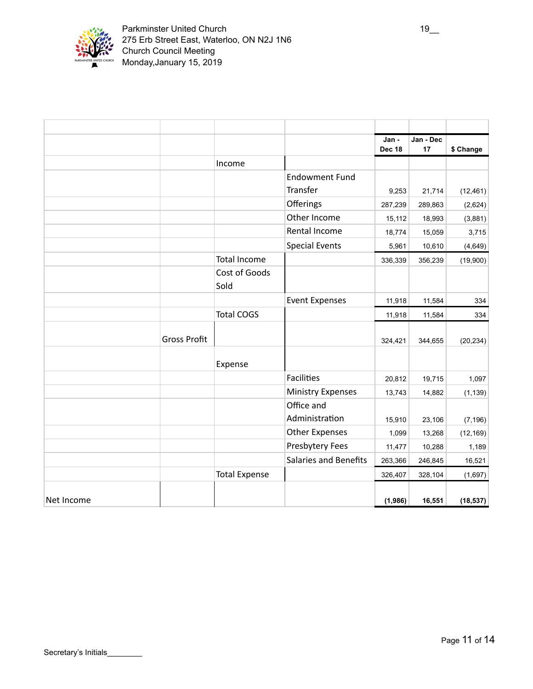

|            |                     |                      |                              | Jan -   | Jan - Dec |           |
|------------|---------------------|----------------------|------------------------------|---------|-----------|-----------|
|            |                     |                      |                              | Dec 18  | 17        | \$ Change |
|            |                     | Income               |                              |         |           |           |
|            |                     |                      | <b>Endowment Fund</b>        |         |           |           |
|            |                     |                      | <b>Transfer</b>              | 9,253   | 21,714    | (12, 461) |
|            |                     |                      | Offerings                    | 287,239 | 289,863   | (2,624)   |
|            |                     |                      | Other Income                 | 15,112  | 18,993    | (3,881)   |
|            |                     |                      | Rental Income                | 18,774  | 15,059    | 3,715     |
|            |                     |                      | <b>Special Events</b>        | 5,961   | 10,610    | (4,649)   |
|            |                     | <b>Total Income</b>  |                              | 336,339 | 356,239   | (19,900)  |
|            |                     | Cost of Goods        |                              |         |           |           |
|            |                     | Sold                 |                              |         |           |           |
|            |                     |                      | <b>Event Expenses</b>        | 11,918  | 11,584    | 334       |
|            |                     | <b>Total COGS</b>    |                              | 11,918  | 11,584    | 334       |
|            | <b>Gross Profit</b> |                      |                              | 324,421 | 344,655   | (20, 234) |
|            |                     | Expense              |                              |         |           |           |
|            |                     |                      | <b>Facilities</b>            | 20,812  | 19,715    | 1,097     |
|            |                     |                      | <b>Ministry Expenses</b>     | 13,743  | 14,882    | (1, 139)  |
|            |                     |                      | Office and                   |         |           |           |
|            |                     |                      | Administration               | 15,910  | 23,106    | (7, 196)  |
|            |                     |                      | <b>Other Expenses</b>        | 1,099   | 13,268    | (12, 169) |
|            |                     |                      | Presbytery Fees              | 11,477  | 10,288    | 1,189     |
|            |                     |                      | <b>Salaries and Benefits</b> | 263,366 | 246,845   | 16,521    |
|            |                     | <b>Total Expense</b> |                              | 326,407 | 328,104   | (1,697)   |
| Net Income |                     |                      |                              | (1,986) | 16,551    | (18, 537) |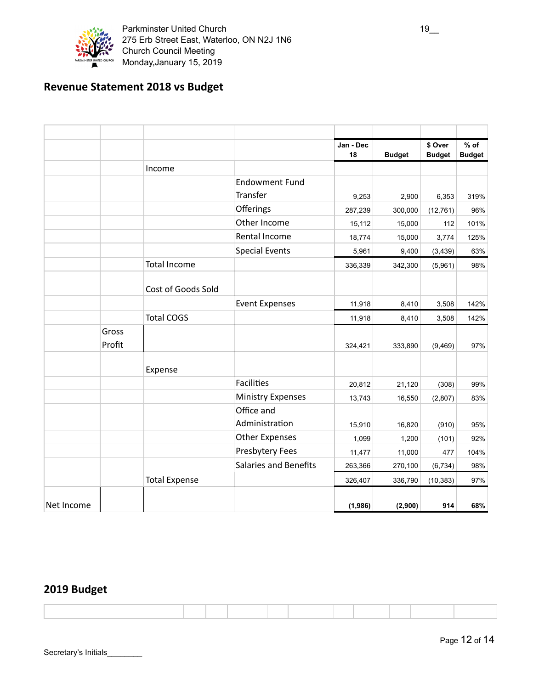

# **Revenue Statement 2018 vs Budget**

|            |        |                      |                              | Jan - Dec |               | \$ Over       | $%$ of        |
|------------|--------|----------------------|------------------------------|-----------|---------------|---------------|---------------|
|            |        |                      |                              | 18        | <b>Budget</b> | <b>Budget</b> | <b>Budget</b> |
|            |        | Income               |                              |           |               |               |               |
|            |        |                      | <b>Endowment Fund</b>        |           |               |               |               |
|            |        |                      | Transfer                     | 9,253     | 2,900         | 6,353         | 319%          |
|            |        |                      | Offerings                    | 287,239   | 300,000       | (12, 761)     | 96%           |
|            |        |                      | Other Income                 | 15,112    | 15,000        | 112           | 101%          |
|            |        |                      | Rental Income                | 18,774    | 15,000        | 3,774         | 125%          |
|            |        |                      | <b>Special Events</b>        | 5,961     | 9,400         | (3, 439)      | 63%           |
|            |        | <b>Total Income</b>  |                              | 336,339   | 342,300       | (5,961)       | 98%           |
|            |        |                      |                              |           |               |               |               |
|            |        | Cost of Goods Sold   |                              |           |               |               |               |
|            |        |                      | <b>Event Expenses</b>        | 11,918    | 8,410         | 3,508         | 142%          |
|            |        | <b>Total COGS</b>    |                              | 11,918    | 8,410         | 3,508         | 142%          |
|            | Gross  |                      |                              |           |               |               |               |
|            | Profit |                      |                              | 324,421   | 333,890       | (9,469)       | 97%           |
|            |        |                      |                              |           |               |               |               |
|            |        | Expense              |                              |           |               |               |               |
|            |        |                      | <b>Facilities</b>            | 20,812    | 21,120        | (308)         | 99%           |
|            |        |                      | <b>Ministry Expenses</b>     | 13,743    | 16,550        | (2,807)       | 83%           |
|            |        |                      | Office and                   |           |               |               |               |
|            |        |                      | Administration               | 15,910    | 16,820        | (910)         | 95%           |
|            |        |                      | <b>Other Expenses</b>        | 1,099     | 1,200         | (101)         | 92%           |
|            |        |                      | Presbytery Fees              | 11,477    | 11,000        | 477           | 104%          |
|            |        |                      | <b>Salaries and Benefits</b> | 263,366   | 270,100       | (6, 734)      | 98%           |
|            |        | <b>Total Expense</b> |                              | 326,407   | 336,790       | (10, 383)     | 97%           |
|            |        |                      |                              |           |               |               |               |
| Net Income |        |                      |                              | (1,986)   | (2,900)       | 914           | 68%           |

# **2019 Budget**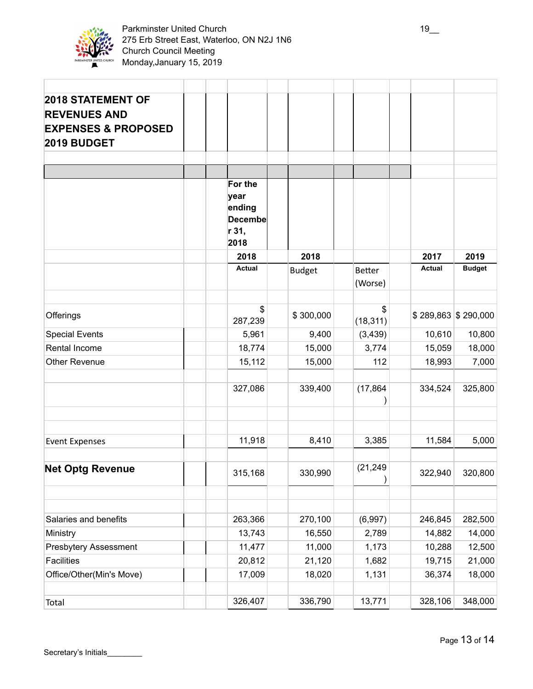

| <b>2018 STATEMENT OF</b><br><b>REVENUES AND</b><br><b>EXPENSES &amp; PROPOSED</b><br>2019 BUDGET |                                                              |               |                          |               |                       |
|--------------------------------------------------------------------------------------------------|--------------------------------------------------------------|---------------|--------------------------|---------------|-----------------------|
|                                                                                                  |                                                              |               |                          |               |                       |
|                                                                                                  |                                                              |               |                          |               |                       |
|                                                                                                  | For the<br>year<br>ending<br><b>Decembe</b><br>r 31,<br>2018 |               |                          |               |                       |
|                                                                                                  | 2018                                                         | 2018          |                          | 2017          | 2019                  |
|                                                                                                  | <b>Actual</b>                                                | <b>Budget</b> | <b>Better</b><br>(Worse) | <b>Actual</b> | <b>Budget</b>         |
|                                                                                                  |                                                              |               |                          |               |                       |
| Offerings                                                                                        | \$<br>287,239                                                | \$300,000     | S<br>(18, 311)           |               | $$289,863$ $$290,000$ |
| <b>Special Events</b>                                                                            | 5,961                                                        | 9,400         | (3, 439)                 | 10,610        | 10,800                |
| Rental Income                                                                                    | 18,774                                                       | 15,000        | 3,774                    | 15,059        | 18,000                |
| <b>Other Revenue</b>                                                                             | 15,112                                                       | 15,000        | 112                      | 18,993        | 7,000                 |
|                                                                                                  | 327,086                                                      | 339,400       | (17, 864)                | 334,524       | 325,800               |
|                                                                                                  |                                                              |               |                          |               |                       |
| <b>Event Expenses</b>                                                                            | 11,918                                                       | 8,410         | 3,385                    | 11,584        | 5,000                 |
| <b>Net Optg Revenue</b>                                                                          | 315,168                                                      | 330,990       | (21, 249)                | 322,940       | 320,800               |
| Salaries and benefits                                                                            | 263,366                                                      | 270,100       | (6,997)                  | 246,845       | 282,500               |
| Ministry                                                                                         | 13,743                                                       | 16,550        | 2,789                    | 14,882        | 14,000                |
| <b>Presbytery Assessment</b>                                                                     | 11,477                                                       | 11,000        | 1,173                    | 10,288        | 12,500                |
| <b>Facilities</b>                                                                                | 20,812                                                       | 21,120        | 1,682                    | 19,715        | 21,000                |
| Office/Other(Min's Move)                                                                         | 17,009                                                       | 18,020        | 1,131                    | 36,374        | 18,000                |
| Total                                                                                            | 326,407                                                      | 336,790       | 13,771                   | 328,106       | 348,000               |
|                                                                                                  |                                                              |               |                          |               |                       |